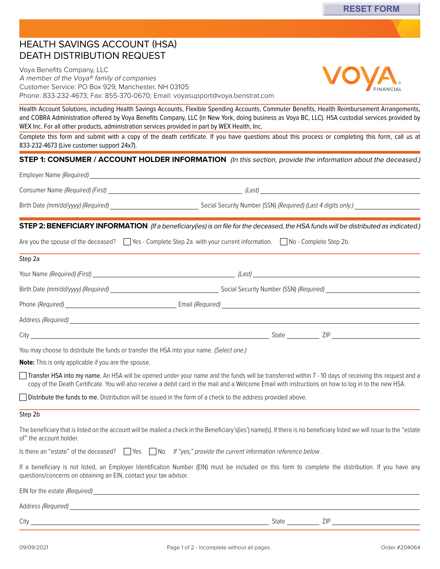## HEALTH SAVINGS ACCOUNT (HSA) DEATH DISTRIBUTION REQUEST

Voya Benefits Company, LLC A member of the Voya® family of companies Customer Service: PO Box 929, Manchester, NH 03105 Phone: 833-232-4673; Fax: 855-370-0670; Email: [voyasupport@voya.benstrat.com](mailto:voyasupport@voya.benstrat.com)

Health Account Solutions, including Health Savings Accounts, Flexible Spending Accounts, Commuter Benefits, Health Reimbursement Arrangements, and COBRA Administration offered by Voya Benefits Company, LLC (in New York, doing business as Voya BC, LLC). HSA custodial services provided by WEX Inc. For all other products, administration services provided in part by WEX Health, Inc.

Complete this form and submit with a copy of the death certificate. If you have questions about this process or completing this form, call us at 833-232-4673 (Live customer support 24x7).

#### **STEP 1: CONSUMER / ACCOUNT HOLDER INFORMATION** (In this section, provide the information about the deceased.)

| Birth Date (mm/dd/yyyy) (Required) | Social Security Number (SSN) (Required) (Last 4 digits only.) __________________                                                            |
|------------------------------------|---------------------------------------------------------------------------------------------------------------------------------------------|
|                                    | <b>STEP 2: BENEFICIARY INFORMATION</b> (If a beneficiary(ies) is on file for the deceased, the HSA funds will be distributed as indicated.) |
|                                    | Are you the spouse of the deceased? $\Box$ Yes - Complete Step 2a. with your current information. $\Box$ No - Complete Step 2b.             |
| Step 2a                            |                                                                                                                                             |
|                                    | (Last)                                                                                                                                      |
| Birth Date (mm/dd/yyyy) (Required) |                                                                                                                                             |
|                                    | Email (Required)                                                                                                                            |

You may choose to distribute the funds or transfer the HSA into your name. (Select one.) City State ZIP

Address (Required) **Address (Required**)

**Note:** This is only applicable if you are the spouse.

Transfer HSA into my name. An HSA will be opened under your name and the funds will be transferred within 7 - 10 days of receiving this request and a copy of the Death Certificate. You will also receive a debit card in the mail and a Welcome Email with instructions on how to log in to the new HSA.

Distribute the funds to me. Distribution will be issued in the form of a check to the address provided above.

#### Step 2b

The beneficiary that is listed on the account will be mailed a check in the Beneficiary's(ies') name(s). If there is no beneficiary listed we will issue to the "estate of" the account holder.

Is there an "estate" of the deceased?  $\Box$  Yes  $\Box$  No If "yes," provide the current information reference below.

If a beneficiary is not listed, an Employer Identification Number (EIN) must be included on this form to complete the distribution. If you have any questions/concerns on obtaining an EIN, contact your tax advisor.

| EIN for the estate (Required) |       |     |
|-------------------------------|-------|-----|
| Address (Required)            |       |     |
| City                          | State | ZIP |